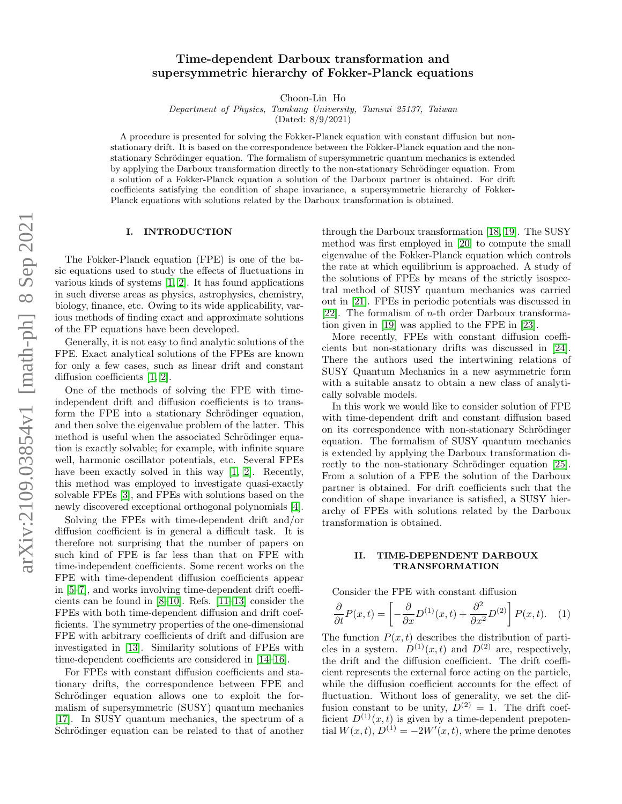# arXiv:2109.03854v1 [math-ph] 8 Sep 2021 arXiv:2109.03854v1 [math-ph] 8 Sep 2021

# Time-dependent Darboux transformation and supersymmetric hierarchy of Fokker-Planck equations

Choon-Lin Ho

Department of Physics, Tamkang University, Tamsui 25137, Taiwan

(Dated: 8/9/2021)

A procedure is presented for solving the Fokker-Planck equation with constant diffusion but nonstationary drift. It is based on the correspondence between the Fokker-Planck equation and the nonstationary Schrödinger equation. The formalism of supersymmetric quantum mechanics is extended by applying the Darboux transformation directly to the non-stationary Schrödinger equation. From a solution of a Fokker-Planck equation a solution of the Darboux partner is obtained. For drift coefficients satisfying the condition of shape invariance, a supersymmetric hierarchy of Fokker-Planck equations with solutions related by the Darboux transformation is obtained.

# I. INTRODUCTION

The Fokker-Planck equation (FPE) is one of the basic equations used to study the effects of fluctuations in various kinds of systems [\[1,](#page-6-0) [2\]](#page-6-1). It has found applications in such diverse areas as physics, astrophysics, chemistry, biology, finance, etc. Owing to its wide applicability, various methods of finding exact and approximate solutions of the FP equations have been developed.

Generally, it is not easy to find analytic solutions of the FPE. Exact analytical solutions of the FPEs are known for only a few cases, such as linear drift and constant diffusion coefficients [\[1,](#page-6-0) [2\]](#page-6-1).

One of the methods of solving the FPE with timeindependent drift and diffusion coefficients is to transform the FPE into a stationary Schrödinger equation, and then solve the eigenvalue problem of the latter. This method is useful when the associated Schrödinger equation is exactly solvable; for example, with infinite square well, harmonic oscillator potentials, etc. Several FPEs have been exactly solved in this way [\[1,](#page-6-0) [2\]](#page-6-1). Recently, this method was employed to investigate quasi-exactly solvable FPEs [\[3\]](#page-6-2), and FPEs with solutions based on the newly discovered exceptional orthogonal polynomials [\[4\]](#page-6-3).

Solving the FPEs with time-dependent drift and/or diffusion coefficient is in general a difficult task. It is therefore not surprising that the number of papers on such kind of FPE is far less than that on FPE with time-independent coefficients. Some recent works on the FPE with time-dependent diffusion coefficients appear in [\[5–](#page-6-4)[7\]](#page-6-5), and works involving time-dependent drift coefficients can be found in [\[8](#page-6-6)[–10\]](#page-6-7). Refs. [\[11](#page-6-8)[–13\]](#page-6-9) consider the FPEs with both time-dependent diffusion and drift coefficients. The symmetry properties of the one-dimensional FPE with arbitrary coefficients of drift and diffusion are investigated in [\[13\]](#page-6-9). Similarity solutions of FPEs with time-dependent coefficients are considered in [\[14–](#page-6-10)[16\]](#page-6-11).

For FPEs with constant diffusion coefficients and stationary drifts, the correspondence between FPE and Schrödinger equation allows one to exploit the formalism of supersymmetric (SUSY) quantum mechanics [\[17\]](#page-7-0). In SUSY quantum mechanics, the spectrum of a Schrödinger equation can be related to that of another through the Darboux transformation [\[18,](#page-7-1) [19\]](#page-7-2). The SUSY method was first employed in [\[20\]](#page-7-3) to compute the small eigenvalue of the Fokker-Planck equation which controls the rate at which equilibrium is approached. A study of the solutions of FPEs by means of the strictly isospectral method of SUSY quantum mechanics was carried out in [\[21\]](#page-7-4). FPEs in periodic potentials was discussed in [\[22\]](#page-7-5). The formalism of  $n$ -th order Darboux transformation given in [\[19\]](#page-7-2) was applied to the FPE in [\[23\]](#page-7-6).

More recently, FPEs with constant diffusion coefficients but non-stationary drifts was discussed in [\[24\]](#page-7-7). There the authors used the intertwining relations of SUSY Quantum Mechanics in a new asymmetric form with a suitable ansatz to obtain a new class of analytically solvable models.

In this work we would like to consider solution of FPE with time-dependent drift and constant diffusion based on its correspondence with non-stationary Schrödinger equation. The formalism of SUSY quantum mechanics is extended by applying the Darboux transformation di-rectly to the non-stationary Schrödinger equation [\[25\]](#page-7-8). From a solution of a FPE the solution of the Darboux partner is obtained. For drift coefficients such that the condition of shape invariance is satisfied, a SUSY hierarchy of FPEs with solutions related by the Darboux transformation is obtained.

# II. TIME-DEPENDENT DARBOUX TRANSFORMATION

Consider the FPE with constant diffusion

<span id="page-0-0"></span>
$$
\frac{\partial}{\partial t}P(x,t) = \left[ -\frac{\partial}{\partial x}D^{(1)}(x,t) + \frac{\partial^2}{\partial x^2}D^{(2)} \right]P(x,t). \quad (1)
$$

The function  $P(x, t)$  describes the distribution of particles in a system.  $D^{(1)}(x,t)$  and  $D^{(2)}$  are, respectively, the drift and the diffusion coefficient. The drift coefficient represents the external force acting on the particle, while the diffusion coefficient accounts for the effect of fluctuation. Without loss of generality, we set the diffusion constant to be unity,  $D^{(2)} = 1$ . The drift coefficient  $D^{(1)}(x,t)$  is given by a time-dependent prepotential  $W(x,t)$ ,  $D^{(1)} = -2W'(x,t)$ , where the prime denotes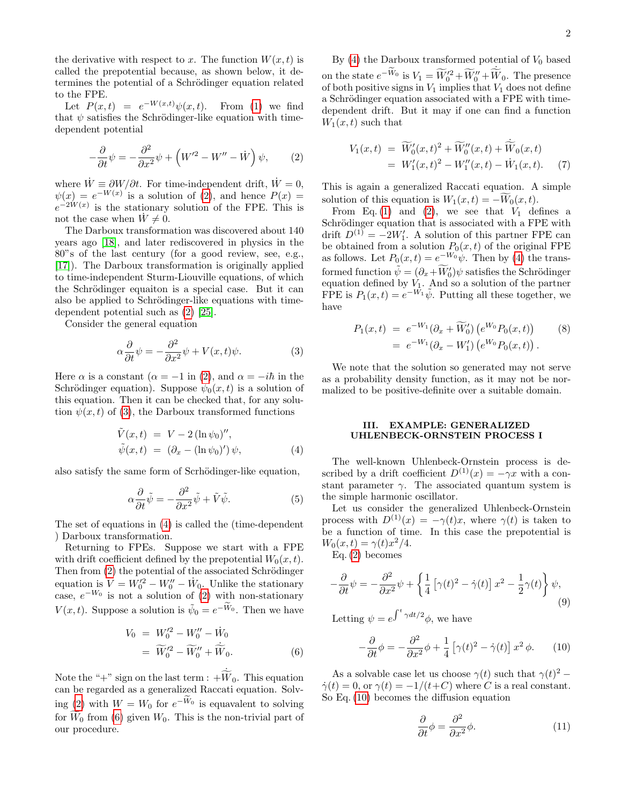the derivative with respect to x. The function  $W(x, t)$  is called the prepotential because, as shown below, it determines the potential of a Schrödinger equation related to the FPE.

Let  $P(x,t) = e^{-W(x,t)}\psi(x,t)$ . From [\(1\)](#page-0-0) we find that  $\psi$  satisfies the Schrödinger-like equation with timedependent potential

<span id="page-1-0"></span>
$$
-\frac{\partial}{\partial t}\psi = -\frac{\partial^2}{\partial x^2}\psi + \left(W'^2 - W'' - \dot{W}\right)\psi, \qquad (2)
$$

where  $\dot{W} \equiv \partial W/\partial t$ . For time-independent drift,  $\dot{W} = 0$ ,  $\psi(x) = e^{-W(x)}$  is a solution of [\(2\)](#page-1-0), and hence  $P(x) =$  $e^{-2W(x)}$  is the stationary solution of the FPE. This is not the case when  $W \neq 0$ .

The Darboux transformation was discovered about 140 years ago [\[18\]](#page-7-1), and later rediscovered in physics in the 80"s of the last century (for a good review, see, e.g., [\[17\]](#page-7-0)). The Darboux transformation is originally applied to time-independent Sturm-Liouville equations, of which the Schrödinger equaiton is a special case. But it can also be applied to Schrödinger-like equations with timedependent potential such as [\(2\)](#page-1-0) [\[25\]](#page-7-8).

Consider the general equation

<span id="page-1-1"></span>
$$
\alpha \frac{\partial}{\partial t} \psi = -\frac{\partial^2}{\partial x^2} \psi + V(x, t)\psi.
$$
 (3)

Here  $\alpha$  is a constant  $(\alpha = -1 \text{ in } (2), \text{ and } \alpha = -i\hbar \text{ in the})$  $(\alpha = -1 \text{ in } (2), \text{ and } \alpha = -i\hbar \text{ in the})$  $(\alpha = -1 \text{ in } (2), \text{ and } \alpha = -i\hbar \text{ in the})$ Schrödinger equation). Suppose  $\psi_0(x,t)$  is a solution of this equation. Then it can be checked that, for any solution  $\psi(x, t)$  of [\(3\)](#page-1-1), the Darboux transformed functions

<span id="page-1-2"></span>
$$
\tilde{V}(x,t) = V - 2(\ln \psi_0)'',
$$
  
\n
$$
\tilde{\psi}(x,t) = (\partial_x - (\ln \psi_0)') \psi,
$$
\n(4)

also satisfy the same form of Scrhödinger-like equation,

$$
\alpha \frac{\partial}{\partial t} \tilde{\psi} = -\frac{\partial^2}{\partial x^2} \tilde{\psi} + \tilde{V} \tilde{\psi}.
$$
 (5)

The set of equations in [\(4\)](#page-1-2) is called the (time-dependent ) Darboux transformation.

Returning to FPEs. Suppose we start with a FPE with drift coefficient defined by the prepotential  $W_0(x, t)$ . Then from  $(2)$  the potential of the associated Schrödinger equation is  $V = W_0^2 - W_0'' - W_0$ . Unlike the stationary case,  $e^{-W_0}$  is not a solution of [\(2\)](#page-1-0) with non-stationary  $V(x,t)$ . Suppose a solution is  $\tilde{\psi}_0 = e^{-\tilde{W}_0}$ . Then we have

<span id="page-1-3"></span>
$$
V_0 = W_0^{\prime 2} - W_0^{\prime \prime} - \dot{W}_0
$$
  
=  $\widetilde{W}_0^{\prime 2} - \widetilde{W}_0^{\prime \prime} + \dot{\widetilde{W}}_0.$  (6)

Note the "+" sign on the last term :  $+\dot{W}_0$ . This equation<br>can be regarded as a generalized Raccati equation. Solv-ing [\(2\)](#page-1-0) with  $W = W_0$  for  $e^{-W_0}$  is equavalent to solving for  $\widetilde{W}_0$  from [\(6\)](#page-1-3) given  $W_0$ . This is the non-trivial part of our procedure.

By  $(4)$  the Darboux transformed potential of  $V_0$  based on the state  $e^{-\widetilde{W}_0}$  is  $V_1 = \widetilde{W}'_0^2 + \widetilde{W}_0'' + \widetilde{W}_0$ . The presence of both positive signs in  $V_1$  implies that  $V_1$  does not define a Schrödinger equation associated with a FPE with timedependent drift. But it may if one can find a function  $W_1(x,t)$  such that

<span id="page-1-8"></span>
$$
V_1(x,t) = \widetilde{W}_0'(x,t)^2 + \widetilde{W}_0''(x,t) + \dot{\widetilde{W}}_0(x,t)
$$
  
= 
$$
W_1'(x,t)^2 - W_1''(x,t) - \dot{W}_1(x,t).
$$
 (7)

This is again a generalized Raccati equation. A simple solution of this equation is  $W_1(x,t) = -W_0(x,t)$ .

From Eq. [\(1\)](#page-0-0) and [\(2\)](#page-1-0), we see that  $V_1$  defines a Schrödinger equation that is associated with a FPE with drift  $D^{(1)} = -2W'_1$ . A solution of this partner FPE can be obtained from a solution  $P_0(x, t)$  of the original FPE as follows. Let  $P_0(x,t) = e^{-W_0}\psi$ . Then by [\(4\)](#page-1-2) the transformed function  $\tilde{\psi} = (\partial_x + \widetilde{W}_0')\psi$  satisfies the Schrödinger equation defined by  $V_1$ . And so a solution of the partner FPE is  $P_1(x,t) = e^{-\tilde{W_1}} \tilde{\psi}$ . Putting all these together, we have

<span id="page-1-7"></span>
$$
P_1(x,t) = e^{-W_1} (\partial_x + \widetilde{W}'_0) (e^{W_0} P_0(x,t))
$$
  
=  $e^{-W_1} (\partial_x - W'_1) (e^{W_0} P_0(x,t))$ . (8)

We note that the solution so generated may not serve as a probability density function, as it may not be normalized to be positive-definite over a suitable domain.

### III. EXAMPLE: GENERALIZED UHLENBECK-ORNSTEIN PROCESS I

The well-known Uhlenbeck-Ornstein process is described by a drift coefficient  $D^{(1)}(x) = -\gamma x$  with a constant parameter  $\gamma$ . The associated quantum system is the simple harmonic oscillator.

Let us consider the generalized Uhlenbeck-Ornstein process with  $D^{(1)}(x) = -\gamma(t)x$ , where  $\gamma(t)$  is taken to be a function of time. In this case the prepotential is  $W_0(x,t) = \gamma(t)x^2/4.$ 

Eq. [\(2\)](#page-1-0) becomes

<span id="page-1-6"></span>
$$
-\frac{\partial}{\partial t}\psi = -\frac{\partial^2}{\partial x^2}\psi + \left\{\frac{1}{4}\left[\gamma(t)^2 - \dot{\gamma}(t)\right]x^2 - \frac{1}{2}\gamma(t)\right\}\psi,
$$
\n(9)

Letting  $\psi = e^{\int^t \gamma dt/2} \phi$ , we have

<span id="page-1-4"></span>
$$
-\frac{\partial}{\partial t}\phi = -\frac{\partial^2}{\partial x^2}\phi + \frac{1}{4} \left[ \gamma(t)^2 - \dot{\gamma}(t) \right] x^2 \phi. \tag{10}
$$

As a solvable case let us choose  $\gamma(t)$  such that  $\gamma(t)^2$  –  $\dot{\gamma}(t) = 0$ , or  $\gamma(t) = -1/(t+C)$  where C is a real constant. So Eq. [\(10\)](#page-1-4) becomes the diffusion equation

<span id="page-1-5"></span>
$$
\frac{\partial}{\partial t}\phi = \frac{\partial^2}{\partial x^2}\phi.
$$
 (11)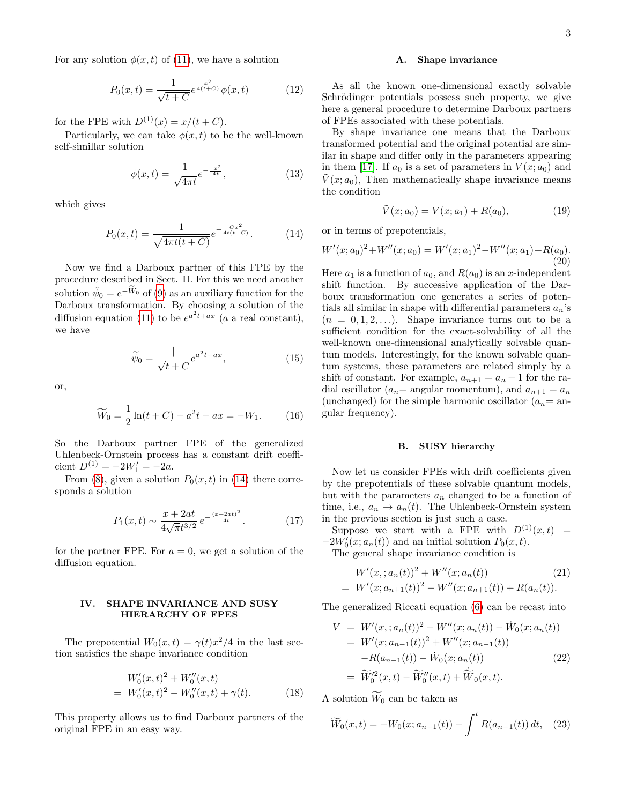For any solution  $\phi(x, t)$  of [\(11\)](#page-1-5), we have a solution

$$
P_0(x,t) = \frac{1}{\sqrt{t+C}} e^{\frac{x^2}{4(t+C)}} \phi(x,t)
$$
 (12)

for the FPE with  $D^{(1)}(x) = x/(t+C)$ .

Particularly, we can take  $\phi(x, t)$  to be the well-known self-simillar solution

$$
\phi(x,t) = \frac{1}{\sqrt{4\pi t}} e^{-\frac{x^2}{4t}},\tag{13}
$$

which gives

<span id="page-2-0"></span>
$$
P_0(x,t) = \frac{1}{\sqrt{4\pi t(t+C)}}e^{-\frac{Cx^2}{4t(t+C)}}.\tag{14}
$$

Now we find a Darboux partner of this FPE by the procedure described in Sect. II. For this we need another solution  $\tilde{\psi}_0 = e^{-\tilde{W}_0}$  of [\(9\)](#page-1-6) as an auxiliary function for the Darboux transformation. By choosing a solution of the diffusion equation [\(11\)](#page-1-5) to be  $e^{a^2t+ax}$  (a a real constant), we have

$$
\widetilde{\psi}_0 = \frac{1}{\sqrt{t+C}} e^{a^2 t + ax},\tag{15}
$$

or,

$$
\widetilde{W}_0 = \frac{1}{2}\ln(t+C) - a^2t - ax = -W_1.
$$
 (16)

So the Darboux partner FPE of the generalized Uhlenbeck-Ornstein process has a constant drift coefficient  $D^{(1)} = -2W'_1 = -2a$ .

From [\(8\)](#page-1-7), given a solution  $P_0(x, t)$  in [\(14\)](#page-2-0) there corresponds a solution

$$
P_1(x,t) \sim \frac{x + 2at}{4\sqrt{\pi}t^{3/2}} e^{-\frac{(x + 2at)^2}{4t}}.
$$
 (17)

for the partner FPE. For  $a = 0$ , we get a solution of the diffusion equation.

### IV. SHAPE INVARIANCE AND SUSY HIERARCHY OF FPES

The prepotential  $W_0(x,t) = \gamma(t)x^2/4$  in the last section satisfies the shape invariance condition

<span id="page-2-1"></span>
$$
W'_0(x,t)^2 + W''_0(x,t)
$$
  
=  $W'_0(x,t)^2 - W''_0(x,t) + \gamma(t).$  (18)

This property allows us to find Darboux partners of the original FPE in an easy way.

### A. Shape invariance

As all the known one-dimensional exactly solvable Schrödinger potentials possess such property, we give here a general procedure to determine Darboux partners of FPEs associated with these potentials.

By shape invariance one means that the Darboux transformed potential and the original potential are similar in shape and differ only in the parameters appearing in them [\[17\]](#page-7-0). If  $a_0$  is a set of parameters in  $V(x; a_0)$  and  $V(x; a_0)$ , Then mathematically shape invariance means the condition

$$
\tilde{V}(x; a_0) = V(x; a_1) + R(a_0),\tag{19}
$$

or in terms of prepotentials,

$$
W'(x;a_0)^2 + W''(x;a_0) = W'(x;a_1)^2 - W''(x;a_1) + R(a_0).
$$
\n(20)

Here  $a_1$  is a function of  $a_0$ , and  $R(a_0)$  is an x-independent shift function. By successive application of the Darboux transformation one generates a series of potentials all similar in shape with differential parameters  $a_n$ 's  $(n = 0, 1, 2, \ldots)$ . Shape invariance turns out to be a sufficient condition for the exact-solvability of all the well-known one-dimensional analytically solvable quantum models. Interestingly, for the known solvable quantum systems, these parameters are related simply by a shift of constant. For example,  $a_{n+1} = a_n + 1$  for the radial oscillator ( $a_n$  = angular momentum), and  $a_{n+1} = a_n$ (unchanged) for the simple harmonic oscillator  $(a_n=$  angular frequency).

### B. SUSY hierarchy

Now let us consider FPEs with drift coefficients given by the prepotentials of these solvable quantum models, but with the parameters  $a_n$  changed to be a function of time, i.e.,  $a_n \to a_n(t)$ . The Uhlenbeck-Ornstein system in the previous section is just such a case.

Suppose we start with a FPE with  $D^{(1)}(x,t)$  =  $-2W'_0(x; a_n(t))$  and an initial solution  $P_0(x, t)$ .

The general shape invariance condition is

$$
W'(x, a_n(t))^2 + W''(x, a_n(t))
$$
\n
$$
= W'(x, a_{n+1}(t))^2 - W''(x, a_{n+1}(t)) + R(a_n(t)).
$$
\n(21)

The generalized Riccati equation [\(6\)](#page-1-3) can be recast into

$$
V = W'(x, a_n(t))^2 - W''(x, a_n(t)) - \dot{W}_0(x, a_n(t))
$$
  
=  $W'(x, a_{n-1}(t))^2 + W''(x, a_{n-1}(t))$   
 $-R(a_{n-1}(t)) - \dot{W}_0(x, a_n(t))$  (22)  
=  $\widetilde{W}_0'^2(x, t) - \widetilde{W}_0''(x, t) + \dot{\widetilde{W}}_0(x, t).$ 

A solution  $\widetilde{W}_0$  can be taken as

$$
\widetilde{W}_0(x,t) = -W_0(x;a_{n-1}(t)) - \int^t R(a_{n-1}(t)) dt, \quad (23)
$$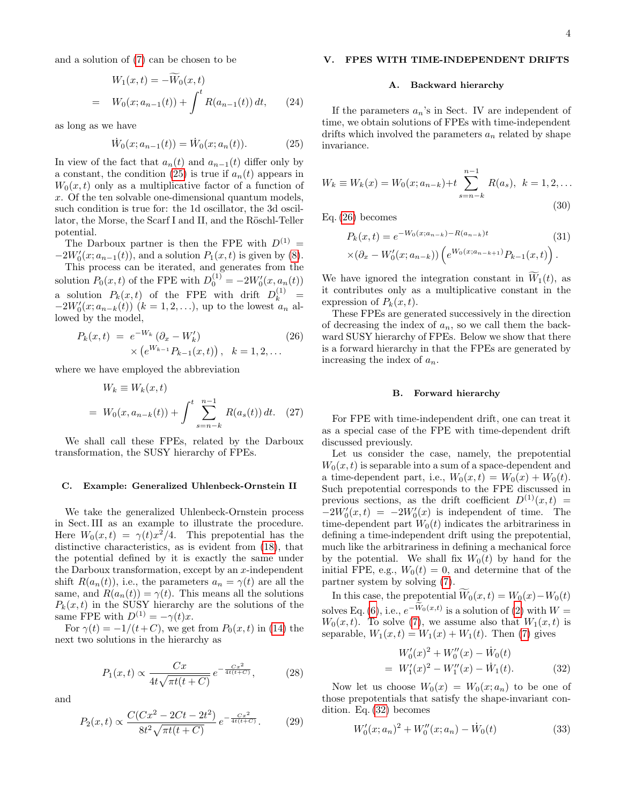and a solution of [\(7\)](#page-1-8) can be chosen to be

$$
W_1(x,t) = -\widetilde{W}_0(x,t)
$$
  
=  $W_0(x;a_{n-1}(t)) + \int^t R(a_{n-1}(t)) dt,$  (24)

as long as we have

<span id="page-3-0"></span>
$$
\dot{W}_0(x; a_{n-1}(t)) = \dot{W}_0(x; a_n(t)).
$$
\n(25)

In view of the fact that  $a_n(t)$  and  $a_{n-1}(t)$  differ only by a constant, the condition [\(25\)](#page-3-0) is true if  $a_n(t)$  appears in  $W_0(x, t)$  only as a multiplicative factor of a function of x. Of the ten solvable one-dimensional quantum models, such condition is true for: the 1d oscillator, the 3d oscillator, the Morse, the Scarf I and II, and the Röschl-Teller potential.

The Darboux partner is then the FPE with  $D^{(1)} =$  $-2W'_0(x; a_{n-1}(t))$ , and a solution  $P_1(x, t)$  is given by [\(8\)](#page-1-7).

This process can be iterated, and generates from the solution  $P_0(x,t)$  of the FPE with  $D_0^{(1)} = -2W'_0(x, a_n(t))$ a solution  $P_k(x,t)$  of the FPE with drift  $D_k^{(1)}$  =  $-2W'_0(x; a_{n-k}(t))$   $(k = 1, 2, \ldots)$ , up to the lowest  $a_n$  allowed by the model,

<span id="page-3-1"></span>
$$
P_k(x,t) = e^{-W_k} (\partial_x - W'_k)
$$
  
 
$$
\times (e^{W_{k-1}} P_{k-1}(x,t)), \quad k = 1, 2, ...
$$
 (26)

where we have employed the abbreviation

$$
W_k \equiv W_k(x, t)
$$
  
=  $W_0(x, a_{n-k}(t)) + \int_0^t \sum_{s=n-k}^{n-1} R(a_s(t)) dt.$  (27)

We shall call these FPEs, related by the Darboux transformation, the SUSY hierarchy of FPEs.

# C. Example: Generalized Uhlenbeck-Ornstein II

We take the generalized Uhlenbeck-Ornstein process in Sect. III as an example to illustrate the procedure. Here  $W_0(x,t) = \gamma(t)x^2/4$ . This prepotential has the distinctive characteristics, as is evident from [\(18\)](#page-2-1), that the potential defined by it is exactly the same under the Darboux transformation, except by an  $x$ -independent shift  $R(a_n(t))$ , i.e., the parameters  $a_n = \gamma(t)$  are all the same, and  $R(a_n(t)) = \gamma(t)$ . This means all the solutions  $P_k(x, t)$  in the SUSY hierarchy are the solutions of the same FPE with  $D^{(1)} = -\gamma(t)x$ .

For  $\gamma(t) = -1/(t+C)$ , we get from  $P_0(x, t)$  in [\(14\)](#page-2-0) the next two solutions in the hierarchy as

$$
P_1(x,t) \propto \frac{Cx}{4t\sqrt{\pi t(t+C)}} e^{-\frac{Cx^2}{4t(t+C)}},
$$
 (28)

and

$$
P_2(x,t) \propto \frac{C(Cx^2 - 2Ct - 2t^2)}{8t^2 \sqrt{\pi t (t + C)}} e^{-\frac{Cx^2}{4t(t + C)}}.
$$
 (29)

# V. FPES WITH TIME-INDEPENDENT DRIFTS

### A. Backward hierarchy

If the parameters  $a_n$ 's in Sect. IV are independent of time, we obtain solutions of FPEs with time-independent drifts which involved the parameters  $a_n$  related by shape invariance.

$$
W_k \equiv W_k(x) = W_0(x; a_{n-k}) + t \sum_{s=n-k}^{n-1} R(a_s), \ k = 1, 2, \dots
$$
\n(30)

Eq. [\(26\)](#page-3-1) becomes

<span id="page-3-4"></span>
$$
P_k(x,t) = e^{-W_0(x;a_{n-k}) - R(a_{n-k})t}
$$
\n
$$
\times (\partial_x - W'_0(x;a_{n-k})) \left( e^{W_0(x;a_{n-k+1})} P_{k-1}(x,t) \right).
$$
\n(31)

We have ignored the integration constant in  $\tilde{W}_1(t)$ , as it contributes only as a multiplicative constant in the expression of  $P_k(x,t)$ .

These FPEs are generated successively in the direction of decreasing the index of  $a_n$ , so we call them the backward SUSY hierarchy of FPEs. Below we show that there is a forward hierarchy in that the FPEs are generated by increasing the index of  $a_n$ .

### B. Forward hierarchy

For FPE with time-independent drift, one can treat it as a special case of the FPE with time-dependent drift discussed previously.

Let us consider the case, namely, the prepotential  $W_0(x, t)$  is separable into a sum of a space-dependent and a time-dependent part, i.e.,  $W_0(x,t) = W_0(x) + W_0(t)$ . Such prepotential corresponds to the FPE discussed in previous sections, as the drift coefficient  $D^{(1)}(x,t)$  =  $-2W'_0(x,t) = -2W'_0(x)$  is independent of time. The time-dependent part  $W_0(t)$  indicates the arbitrariness in defining a time-independent drift using the prepotential, much like the arbitrariness in defining a mechanical force by the potential. We shall fix  $W_0(t)$  by hand for the initial FPE, e.g.,  $W_0(t) = 0$ , and determine that of the partner system by solving [\(7\)](#page-1-8).

In this case, the prepotential  $W_0(x, t) = W_0(x) - W_0(t)$ solves Eq.  $(6)$ , i.e.,  $e^{-W_0(x,t)}$  is a solution of  $(2)$  with  $W =$  $W_0(x, t)$ . To solve [\(7\)](#page-1-8), we assume also that  $W_1(x, t)$  is separable,  $W_1(x,t) = W_1(x) + W_1(t)$ . Then [\(7\)](#page-1-8) gives

<span id="page-3-2"></span>
$$
W'_0(x)^2 + W''_0(x) - \dot{W}_0(t)
$$
  
=  $W'_1(x)^2 - W''_1(x) - \dot{W}_1(t)$ . (32)

Now let us choose  $W_0(x) = W_0(x; a_n)$  to be one of those prepotentials that satisfy the shape-invariant condition. Eq. [\(32\)](#page-3-2) becomes

<span id="page-3-3"></span>
$$
W_0'(x; a_n)^2 + W_0''(x; a_n) - \dot{W}_0(t)
$$
\n(33)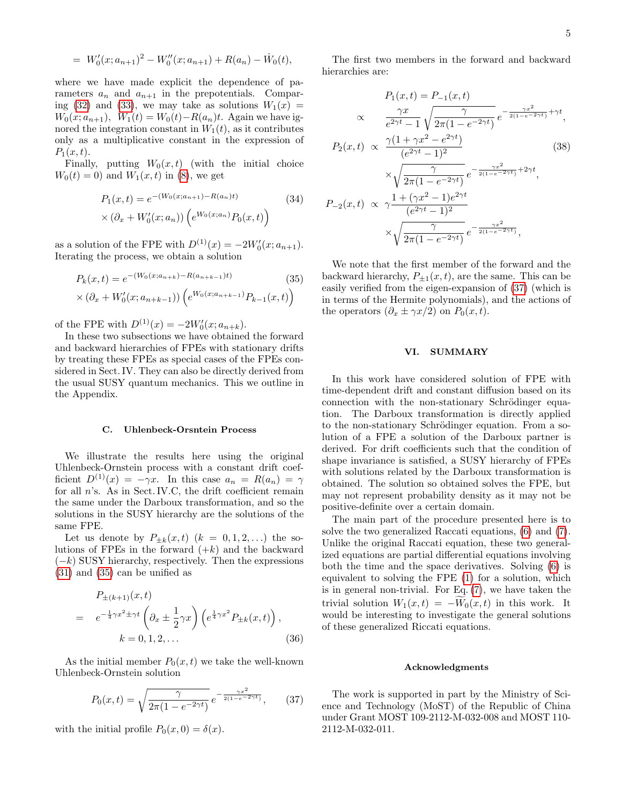$$
= W'_0(x; a_{n+1})^2 - W''_0(x; a_{n+1}) + R(a_n) - \dot{W}_0(t),
$$

where we have made explicit the dependence of parameters  $a_n$  and  $a_{n+1}$  in the prepotentials. Compar-ing [\(32\)](#page-3-2) and [\(33\)](#page-3-3), we may take as solutions  $W_1(x) =$  $W_0(x; a_{n+1}), W_1(t) = W_0(t) - R(a_n)t.$  Again we have ignored the integration constant in  $W_1(t)$ , as it contributes only as a multiplicative constant in the expression of  $P_1(x,t)$ .

Finally, putting  $W_0(x,t)$  (with the initial choice  $W_0(t) = 0$  and  $W_1(x, t)$  in [\(8\)](#page-1-7), we get

$$
P_1(x,t) = e^{-(W_0(x;a_{n+1}) - R(a_n)t)}
$$
(34)  

$$
\times (\partial_x + W'_0(x;a_n)) \left( e^{W_0(x;a_n)} P_0(x,t) \right)
$$

as a solution of the FPE with  $D^{(1)}(x) = -2W'_0(x; a_{n+1}).$ Iterating the process, we obtain a solution

<span id="page-4-0"></span>
$$
P_k(x,t) = e^{-(W_0(x;a_{n+k}) - R(a_{n+k-1})t)}
$$
\n(35)

$$
\times (\partial_x + W'_0(x; a_{n+k-1})) \left( e^{W_0(x; a_{n+k-1})} P_{k-1}(x, t) \right)
$$

of the FPE with  $D^{(1)}(x) = -2W'_0(x; a_{n+k}).$ 

In these two subsections we have obtained the forward and backward hierarchies of FPEs with stationary drifts by treating these FPEs as special cases of the FPEs considered in Sect. IV. They can also be directly derived from the usual SUSY quantum mechanics. This we outline in the Appendix.

### C. Uhlenbeck-Orsntein Process

We illustrate the results here using the original Uhlenbeck-Ornstein process with a constant drift coefficient  $D^{(1)}(x) = -\gamma x$ . In this case  $a_n = R(a_n) = \gamma$ for all  $n$ 's. As in Sect. IV.C, the drift coefficient remain the same under the Darboux transformation, and so the solutions in the SUSY hierarchy are the solutions of the same FPE.

Let us denote by  $P_{\pm k}(x,t)$   $(k = 0,1,2,...)$  the solutions of FPEs in the forward  $(+k)$  and the backward  $(-k)$  SUSY hierarchy, respectively. Then the expressions [\(31\)](#page-3-4) and [\(35\)](#page-4-0) can be unified as

$$
P_{\pm(k+1)}(x,t) = e^{-\frac{1}{4}\gamma x^2 \pm \gamma t} \left(\partial_x \pm \frac{1}{2}\gamma x\right) \left(e^{\frac{1}{4}\gamma x^2} P_{\pm k}(x,t)\right),
$$
  
\n
$$
k = 0, 1, 2, ... \qquad (36)
$$

As the initial member  $P_0(x,t)$  we take the well-known Uhlenbeck-Ornstein solution

<span id="page-4-1"></span>
$$
P_0(x,t) = \sqrt{\frac{\gamma}{2\pi(1 - e^{-2\gamma t})}} e^{-\frac{\gamma x^2}{2(1 - e^{-2\gamma t})}}, \qquad (37)
$$

with the initial profile  $P_0(x, 0) = \delta(x)$ .

The first two members in the forward and backward hierarchies are:

$$
P_1(x,t) = P_{-1}(x,t)
$$
  
\n
$$
\propto \frac{\gamma x}{e^{2\gamma t} - 1} \sqrt{\frac{\gamma}{2\pi (1 - e^{-2\gamma t})}} e^{-\frac{\gamma x^2}{2(1 - e^{-2\gamma t})} + \gamma t},
$$
  
\n
$$
P_2(x,t) \propto \frac{\gamma (1 + \gamma x^2 - e^{2\gamma t})}{(e^{2\gamma t} - 1)^2}
$$
  
\n
$$
\times \sqrt{\frac{\gamma}{2\pi (1 - e^{-2\gamma t})}} e^{-\frac{\gamma x^2}{2(1 - e^{-2\gamma t})} + 2\gamma t},
$$
  
\n
$$
P_{-2}(x,t) \propto \gamma \frac{1 + (\gamma x^2 - 1)e^{2\gamma t}}{(e^{2\gamma t} - 1)^2}
$$
  
\n
$$
\times \sqrt{\frac{\gamma}{2\pi (1 - e^{-2\gamma t})}} e^{-\frac{\gamma x^2}{2(1 - e^{-2\gamma t})}},
$$
  
\n(38)

We note that the first member of the forward and the backward hierarchy,  $P_{\pm 1}(x,t)$ , are the same. This can be easily verified from the eigen-expansion of [\(37\)](#page-4-1) (which is in terms of the Hermite polynomials), and the actions of the operators  $(\partial_x \pm \gamma x/2)$  on  $P_0(x, t)$ .

# VI. SUMMARY

In this work have considered solution of FPE with time-dependent drift and constant diffusion based on its connection with the non-stationary Schrödinger equation. The Darboux transformation is directly applied to the non-stationary Schrödinger equation. From a solution of a FPE a solution of the Darboux partner is derived. For drift coefficients such that the condition of shape invariance is satisfied, a SUSY hierarchy of FPEs with solutions related by the Darboux transformation is obtained. The solution so obtained solves the FPE, but may not represent probability density as it may not be positive-definite over a certain domain.

The main part of the procedure presented here is to solve the two generalized Raccati equations, [\(6\)](#page-1-3) and [\(7\)](#page-1-8). Unlike the original Raccati equation, these two generalized equations are partial differential equations involving both the time and the space derivatives. Solving [\(6\)](#page-1-3) is equivalent to solving the FPE [\(1\)](#page-0-0) for a solution, which is in general non-trivial. For Eq. [\(7\)](#page-1-8), we have taken the trivial solution  $W_1(x,t) = -W_0(x,t)$  in this work. It would be interesting to investigate the general solutions of these generalized Riccati equations.

### Acknowledgments

The work is supported in part by the Ministry of Science and Technology (MoST) of the Republic of China under Grant MOST 109-2112-M-032-008 and MOST 110- 2112-M-032-011.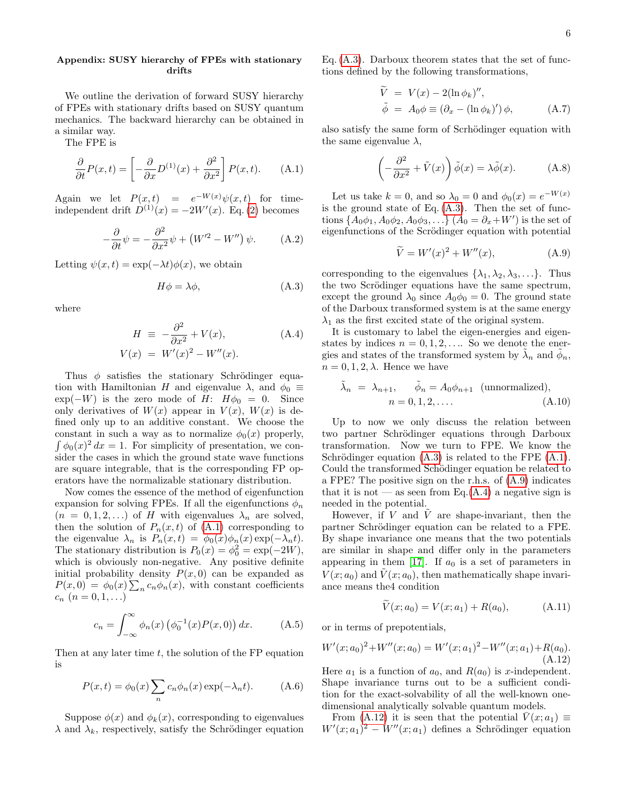# Appendix: SUSY hierarchy of FPEs with stationary drifts

We outline the derivation of forward SUSY hierarchy of FPEs with stationary drifts based on SUSY quantum mechanics. The backward hierarchy can be obtained in a similar way.

The FPE is

<span id="page-5-0"></span>
$$
\frac{\partial}{\partial t}P(x,t) = \left[ -\frac{\partial}{\partial x}D^{(1)}(x) + \frac{\partial^2}{\partial x^2} \right]P(x,t). \tag{A.1}
$$

Again we let  $P(x,t) = e^{-W(x)}\psi(x,t)$  for timeindependent drift  $D^{(1)}(x) = -2W'(x)$ . Eq. [\(2\)](#page-1-0) becomes

$$
-\frac{\partial}{\partial t}\psi = -\frac{\partial^2}{\partial x^2}\psi + (W^{\prime 2} - W^{\prime \prime})\psi.
$$
 (A.2)

Letting  $\psi(x,t) = \exp(-\lambda t) \phi(x)$ , we obtain

<span id="page-5-1"></span>
$$
H\phi = \lambda\phi,\tag{A.3}
$$

where

<span id="page-5-3"></span>
$$
H = -\frac{\partial^2}{\partial x^2} + V(x),
$$
\n
$$
V(x) = W'(x)^2 - W''(x).
$$
\n(A.4)

Thus  $\phi$  satisfies the stationary Schrödinger equation with Hamiltonian H and eigenvalue  $\lambda$ , and  $\phi_0 \equiv$  $\exp(-W)$  is the zero mode of H:  $H\phi_0 = 0$ . Since only derivatives of  $W(x)$  appear in  $V(x)$ ,  $W(x)$  is defined only up to an additive constant. We choose the constant in such a way as to normalize  $\phi_0(x)$  properly,  $\int \phi_0(x)^2 dx = 1$ . For simplicity of presentation, we consider the cases in which the ground state wave functions are square integrable, that is the corresponding FP operators have the normalizable stationary distribution.

Now comes the essence of the method of eigenfunction expansion for solving FPEs. If all the eigenfunctions  $\phi_n$  $(n = 0, 1, 2, ...)$  of H with eigenvalues  $\lambda_n$  are solved, then the solution of  $P_n(x,t)$  of  $(A.1)$  corresponding to the eigenvalue  $\lambda_n$  is  $P_n(x,t) = \phi_0(x)\phi_n(x) \exp(-\lambda_n t)$ . The stationary distribution is  $P_0(x) = \phi_0^2 = \exp(-2W)$ , which is obviously non-negative. Any positive definite initial probability density  $P(x, 0)$  can be expanded as  $P(x,0) = \phi_0(x) \sum_n c_n \phi_n(x)$ , with constant coefficients  $c_n$   $(n = 0, 1, ...)$ 

$$
c_n = \int_{-\infty}^{\infty} \phi_n(x) \left( \phi_0^{-1}(x) P(x, 0) \right) dx. \tag{A.5}
$$

Then at any later time  $t$ , the solution of the FP equation is

<span id="page-5-6"></span>
$$
P(x,t) = \phi_0(x) \sum_n c_n \phi_n(x) \exp(-\lambda_n t).
$$
 (A.6)

Suppose  $\phi(x)$  and  $\phi_k(x)$ , corresponding to eigenvalues  $\lambda$  and  $\lambda_k$ , respectively, satisfy the Schrödinger equation

Eq.  $(A.3)$ . Darboux theorem states that the set of functions defined by the following transformations,

$$
\widetilde{V} = V(x) - 2(\ln \phi_k)''
$$
\n
$$
\widetilde{\phi} = A_0 \phi \equiv (\partial_x - (\ln \phi_k)') \phi,
$$
\n(A.7)

also satisfy the same form of Scrhödinger equation with the same eigenvalue  $\lambda$ ,

$$
\left(-\frac{\partial^2}{\partial x^2} + \tilde{V}(x)\right)\tilde{\phi}(x) = \lambda \tilde{\phi}(x). \quad (A.8)
$$

Let us take  $k = 0$ , and so  $\lambda_0 = 0$  and  $\phi_0(x) = e^{-W(x)}$ is the ground state of Eq.  $(A.3)$ . Then the set of functions  $\{A_0\phi_1, A_0\phi_2, A_0\phi_3, ...\}$   $(A_0 = \partial_x + W')$  is the set of eigenfunctions of the Scrödinger equation with potential

<span id="page-5-2"></span>
$$
\widetilde{V} = W'(x)^2 + W''(x),\tag{A.9}
$$

corresponding to the eigenvalues  $\{\lambda_1, \lambda_2, \lambda_3, \ldots\}$ . Thus the two Scrödinger equations have the same spectrum, except the ground  $\lambda_0$  since  $A_0\phi_0 = 0$ . The ground state of the Darboux transformed system is at the same energy  $\lambda_1$  as the first excited state of the original system.

It is customary to label the eigen-energies and eigenstates by indices  $n = 0, 1, 2, \ldots$  So we denote the energies and states of the transformed system by  $\tilde{\lambda}_n$  and  $\tilde{\phi}_n$ ,  $n = 0, 1, 2, \lambda$ . Hence we have

<span id="page-5-5"></span>
$$
\tilde{\lambda}_n = \lambda_{n+1}, \quad \tilde{\phi}_n = A_0 \phi_{n+1} \text{ (unnormalized)},
$$
  
\n
$$
n = 0, 1, 2, .... \tag{A.10}
$$

Up to now we only discuss the relation between two partner Schrödinger equations through Darboux transformation. Now we turn to FPE. We know the Schrödinger equation  $(A.3)$  is related to the FPE  $(A.1)$ . Could the transformed Schödinger equation be related to a FPE? The positive sign on the r.h.s. of [\(A.9\)](#page-5-2) indicates that it is not — as seen from Eq.[\(A.4\)](#page-5-3) a negative sign is needed in the potential.

However, if  $V$  and  $\tilde{V}$  are shape-invariant, then the partner Schrödinger equation can be related to a FPE. By shape invariance one means that the two potentials are similar in shape and differ only in the parameters appearing in them [\[17\]](#page-7-0). If  $a_0$  is a set of parameters in  $V(x; a_0)$  and  $\tilde{V}(x; a_0)$ , then mathematically shape invariance means the4 condition

$$
\widetilde{V}(x; a_0) = V(x; a_1) + R(a_0), \tag{A.11}
$$

or in terms of prepotentials,

<span id="page-5-4"></span>
$$
W'(x;a_0)^2 + W''(x;a_0) = W'(x;a_1)^2 - W''(x;a_1) + R(a_0).
$$
\n(A.12)

Here  $a_1$  is a function of  $a_0$ , and  $R(a_0)$  is x-independent. Shape invariance turns out to be a sufficient condition for the exact-solvability of all the well-known onedimensional analytically solvable quantum models.

From [\(A.12\)](#page-5-4) it is seen that the potential  $V(x; a_1) \equiv$  $W'(x; a_1)^2 - W''(x; a_1)$  defines a Schrödinger equation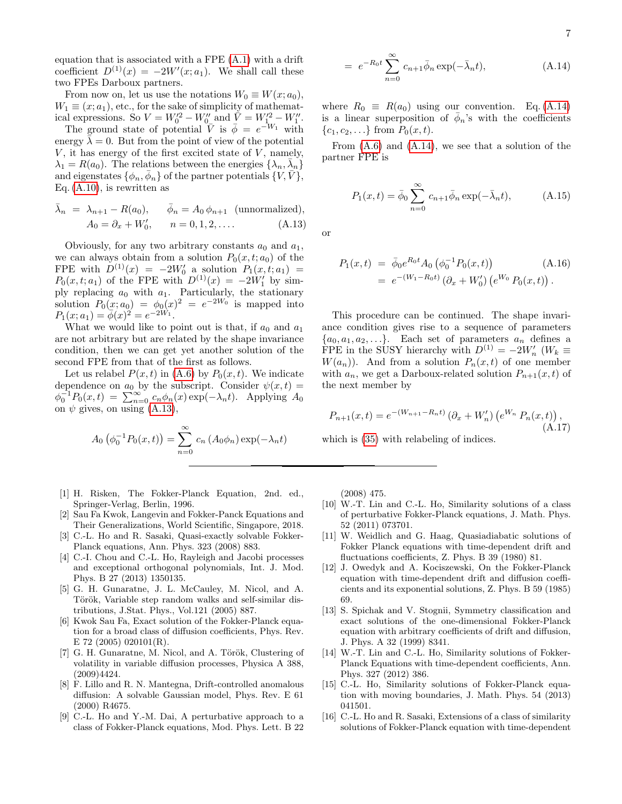equation that is associated with a FPE [\(A.1\)](#page-5-0) with a drift coefficient  $D^{(1)}(x) = -2W'(x; a_1)$ . We shall call these two FPEs Darboux partners.

From now on, let us use the notations  $W_0 \equiv W(x; a_0)$ ,  $W_1 \equiv (x; a_1)$ , etc., for the sake of simplicity of mathematical expressions. So  $V = W_0'^2 - W_0''$  and  $\bar{\dot{V}} = W_{1...}'^2 - W_1''$ .

The ground state of potential  $\overline{V}$  is  $\overline{\phi} = e^{-W_1}$  with energy  $\lambda = 0$ . But from the point of view of the potential  $V$ , it has energy of the first excited state of  $V$ , namely,  $\lambda_1 = R(a_0)$ . The relations between the energies  $\{\lambda_n, \bar{\lambda}_n\}$ and eigenstates  $\{\phi_n, \bar{\phi}_n\}$  of the partner potentials  $\{V, \bar{V}\},$ Eq.  $(A.10)$ , is rewritten as

<span id="page-6-12"></span>
$$
\bar{\lambda}_n = \lambda_{n+1} - R(a_0), \quad \bar{\phi}_n = A_0 \phi_{n+1} \text{ (unnormalized)},
$$
  
\n
$$
A_0 = \partial_x + W'_0, \quad n = 0, 1, 2, .... \quad (A.13)
$$

Obviously, for any two arbitrary constants  $a_0$  and  $a_1$ , we can always obtain from a solution  $P_0(x, t; a_0)$  of the FPE with  $D^{(1)}(x) = -2W'_0$  a solution  $P_1(x,t;a_1) =$  $P_0(x,t; a_1)$  of the FPE with  $D^{(1)}(x) = -2W'_1$  by simply replacing  $a_0$  with  $a_1$ . Particularly, the stationary solution  $P_0(x; a_0) = \phi_0(x)^2 = e^{-2W_0}$  is mapped into  $P_1(x; a_1) = \overline{\phi}(x)^2 = e^{-2W_1}.$ 

What we would like to point out is that, if  $a_0$  and  $a_1$ are not arbitrary but are related by the shape invariance condition, then we can get yet another solution of the second FPE from that of the first as follows.

Let us relabel  $P(x, t)$  in [\(A.6\)](#page-5-6) by  $P_0(x, t)$ . We indicate dependence on  $a_0$  by the subscript. Consider  $\psi(x,t) =$  $\phi_0^{-1} P_0(x,t) = \sum_{n=0}^{\infty} c_n \phi_n(x) \exp(-\lambda_n t)$ . Applying  $A_0$ on  $\psi$  gives, on using [\(A.13\)](#page-6-12),

<span id="page-6-13"></span>
$$
A_0\left(\phi_0^{-1}P_0(x,t)\right) = \sum_{n=0}^{\infty} c_n\left(A_0\phi_n\right) \exp(-\lambda_n t)
$$

- <span id="page-6-0"></span>[1] H. Risken, The Fokker-Planck Equation, 2nd. ed., Springer-Verlag, Berlin, 1996.
- <span id="page-6-1"></span>[2] Sau Fa Kwok, Langevin and Fokker-Panck Equations and Their Generalizations, World Scientific, Singapore, 2018.
- <span id="page-6-2"></span>[3] C.-L. Ho and R. Sasaki, Quasi-exactly solvable Fokker-Planck equations, Ann. Phys. 323 (2008) 883.
- <span id="page-6-3"></span>[4] C.-I. Chou and C.-L. Ho, Rayleigh and Jacobi processes and exceptional orthogonal polynomials, Int. J. Mod. Phys. B 27 (2013) 1350135.
- <span id="page-6-4"></span>[5] G. H. Gunaratne, J. L. McCauley, M. Nicol, and A. Török, Variable step random walks and self-similar distributions, J.Stat. Phys., Vol.121 (2005) 887.
- [6] Kwok Sau Fa, Exact solution of the Fokker-Planck equation for a broad class of diffusion coefficients, Phys. Rev. E 72 (2005) 020101(R).
- <span id="page-6-5"></span>[7] G. H. Gunaratne, M. Nicol, and A. Török, Clustering of volatility in variable diffusion processes, Physica A 388, (2009)4424.
- <span id="page-6-6"></span>[8] F. Lillo and R. N. Mantegna, Drift-controlled anomalous diffusion: A solvable Gaussian model, Phys. Rev. E 61 (2000) R4675.
- [9] C.-L. Ho and Y.-M. Dai, A perturbative approach to a class of Fokker-Planck equations, Mod. Phys. Lett. B 22

$$
= e^{-R_0 t} \sum_{n=0}^{\infty} c_{n+1} \bar{\phi}_n \exp(-\bar{\lambda}_n t), \qquad (A.14)
$$

where  $R_0 \equiv R(a_0)$  using our convention. Eq. [\(A.14\)](#page-6-13) is a linear superposition of  $\bar{\phi}_n$ 's with the coefficients  ${c_1, c_2, \ldots}$  from  $P_0(x, t)$ .

From  $(A.6)$  and  $(A.14)$ , we see that a solution of the partner FPE is

$$
P_1(x,t) = \bar{\phi}_0 \sum_{n=0}^{\infty} c_{n+1} \bar{\phi}_n \exp(-\bar{\lambda}_n t), \quad (A.15)
$$

or

$$
P_1(x,t) = \bar{\phi}_0 e^{R_0 t} A_0 \left( \phi_0^{-1} P_0(x,t) \right)
$$
\n
$$
= e^{-(W_1 - R_0 t)} \left( \partial_x + W_0' \right) \left( e^{W_0} P_0(x,t) \right).
$$
\n(A.16)

This procedure can be continued. The shape invariance condition gives rise to a sequence of parameters  $\{a_0, a_1, a_2, \ldots\}$ . Each set of parameters  $a_n$  defines a FPE in the SUSY hierarchy with  $D^{(1)} = -2W'_n$  ( $W_k \equiv$  $W(a_n)$ ). And from a solution  $P_n(x,t)$  of one member with  $a_n$ , we get a Darboux-related solution  $P_{n+1}(x, t)$  of the next member by

$$
P_{n+1}(x,t) = e^{-(W_{n+1} - R_n t)} (\partial_x + W'_n) (e^{W_n} P_n(x,t)),
$$
\n(A.17)

which is  $(35)$  with relabeling of indices.

(2008) 475.

- <span id="page-6-7"></span>[10] W.-T. Lin and C.-L. Ho, Similarity solutions of a class of perturbative Fokker-Planck equations, J. Math. Phys. 52 (2011) 073701.
- <span id="page-6-8"></span>[11] W. Weidlich and G. Haag, Quasiadiabatic solutions of Fokker Planck equations with time-dependent drift and fluctuations coefficients, Z. Phys. B 39 (1980) 81.
- [12] J. Owedyk and A. Kociszewski, On the Fokker-Planck equation with time-dependent drift and diffusion coefficients and its exponential solutions, Z. Phys. B 59 (1985) 69.
- <span id="page-6-9"></span>[13] S. Spichak and V. Stognii, Symmetry classification and exact solutions of the one-dimensional Fokker-Planck equation with arbitrary coefficients of drift and diffusion, J. Phys. A 32 (1999) 8341.
- <span id="page-6-10"></span>[14] W.-T. Lin and C.-L. Ho, Similarity solutions of Fokker-Planck Equations with time-dependent coefficients, Ann. Phys. 327 (2012) 386.
- [15] C.-L. Ho, Similarity solutions of Fokker-Planck equation with moving boundaries, J. Math. Phys. 54 (2013) 041501.
- <span id="page-6-11"></span>[16] C.-L. Ho and R. Sasaki, Extensions of a class of similarity solutions of Fokker-Planck equation with time-dependent